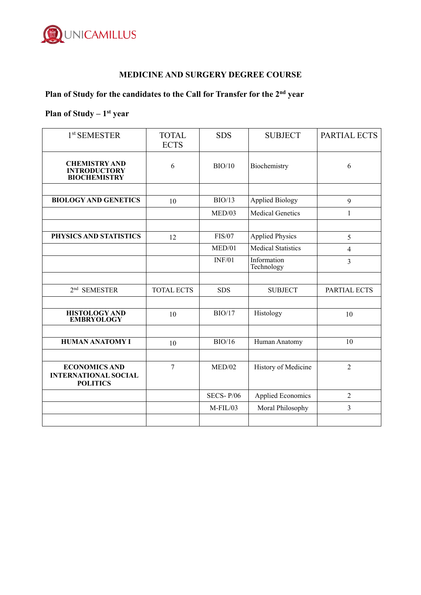

#### **MEDICINE AND SURGERY DEGREE COURSE**

# **Plan of Study for the candidates to the Call for Transfer for the 2nd year**

## Plan of Study – 1<sup>st</sup> year

| 1 <sup>st</sup> SEMESTER                                               | <b>TOTAL</b><br><b>ECTS</b> | <b>SDS</b>       | <b>SUBJECT</b>            | PARTIAL ECTS   |
|------------------------------------------------------------------------|-----------------------------|------------------|---------------------------|----------------|
| <b>CHEMISTRY AND</b><br><b>INTRODUCTORY</b><br><b>BIOCHEMISTRY</b>     | 6                           | BIO/10           | Biochemistry              | 6              |
|                                                                        |                             |                  |                           |                |
| <b>BIOLOGY AND GENETICS</b>                                            | 10                          | BIO/13           | <b>Applied Biology</b>    | 9              |
|                                                                        |                             | MED/03           | <b>Medical Genetics</b>   | 1              |
|                                                                        |                             |                  |                           |                |
| PHYSICS AND STATISTICS                                                 | 12                          | <b>FIS/07</b>    | <b>Applied Physics</b>    | 5              |
|                                                                        |                             | MED/01           | <b>Medical Statistics</b> | $\overline{4}$ |
|                                                                        |                             | INF/01           | Information<br>Technology | $\overline{3}$ |
|                                                                        |                             |                  |                           |                |
| 2 <sup>nd</sup> SEMESTER                                               | <b>TOTAL ECTS</b>           | <b>SDS</b>       | <b>SUBJECT</b>            | PARTIAL ECTS   |
|                                                                        |                             |                  |                           |                |
| <b>HISTOLOGY AND</b><br><b>EMBRYOLOGY</b>                              | 10                          | BIO/17           | Histology                 | 10             |
|                                                                        |                             |                  |                           |                |
| <b>HUMAN ANATOMY I</b>                                                 | 10                          | BIO/16           | Human Anatomy             | 10             |
|                                                                        |                             |                  |                           |                |
| <b>ECONOMICS AND</b><br><b>INTERNATIONAL SOCIAL</b><br><b>POLITICS</b> | $\overline{7}$              | MED/02           | History of Medicine       | $\overline{2}$ |
|                                                                        |                             | <b>SECS-P/06</b> | <b>Applied Economics</b>  | 2              |
|                                                                        |                             | $M$ -FIL/03      | Moral Philosophy          | 3              |
|                                                                        |                             |                  |                           |                |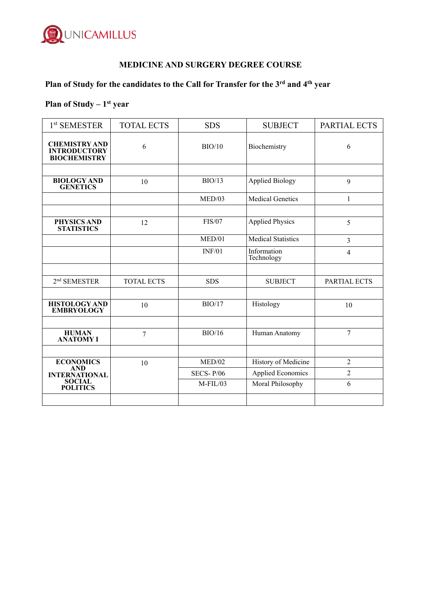

### **MEDICINE AND SURGERY DEGREE COURSE**

# **Plan of Study for the candidates to the Call for Transfer for the 3rd and 4th year**

# Plan of Study – 1<sup>st</sup> year

| 1 <sup>st</sup> SEMESTER                                           | <b>TOTAL ECTS</b> | <b>SDS</b>    | <b>SUBJECT</b>            | PARTIAL ECTS   |
|--------------------------------------------------------------------|-------------------|---------------|---------------------------|----------------|
| <b>CHEMISTRY AND</b><br><b>INTRODUCTORY</b><br><b>BIOCHEMISTRY</b> | 6                 | BIO/10        | Biochemistry              | 6              |
|                                                                    |                   |               |                           |                |
| <b>BIOLOGY AND</b><br><b>GENETICS</b>                              | 10                | BIO/13        | <b>Applied Biology</b>    | 9              |
|                                                                    |                   | MED/03        | <b>Medical Genetics</b>   | 1              |
|                                                                    |                   |               |                           |                |
| PHYSICS AND<br><b>STATISTICS</b>                                   | 12                | <b>FIS/07</b> | <b>Applied Physics</b>    | 5              |
|                                                                    |                   | MED/01        | <b>Medical Statistics</b> | 3              |
|                                                                    |                   | INF/01        | Information<br>Technology | $\overline{4}$ |
|                                                                    |                   |               |                           |                |
| 2 <sup>nd</sup> SEMESTER                                           | <b>TOTAL ECTS</b> | <b>SDS</b>    | <b>SUBJECT</b>            | PARTIAL ECTS   |
|                                                                    |                   |               |                           |                |
| <b>HISTOLOGY AND</b><br><b>EMBRYOLOGY</b>                          | 10                | BIO/17        | Histology                 | 10             |
|                                                                    |                   |               |                           |                |
| <b>HUMAN</b><br><b>ANATOMY I</b>                                   | 7                 | BIO/16        | Human Anatomy             | $\overline{7}$ |
|                                                                    |                   |               |                           |                |
| <b>ECONOMICS</b><br>AND                                            | 10                | MED/02        | History of Medicine       | $\overline{2}$ |
| <b>INTERNATIONAL</b>                                               |                   | SECS- $P/06$  | <b>Applied Economics</b>  | $\overline{2}$ |
| <b>SOCIAL</b><br><b>POLITICS</b>                                   |                   | M-FIL/03      | Moral Philosophy          | 6              |
|                                                                    |                   |               |                           |                |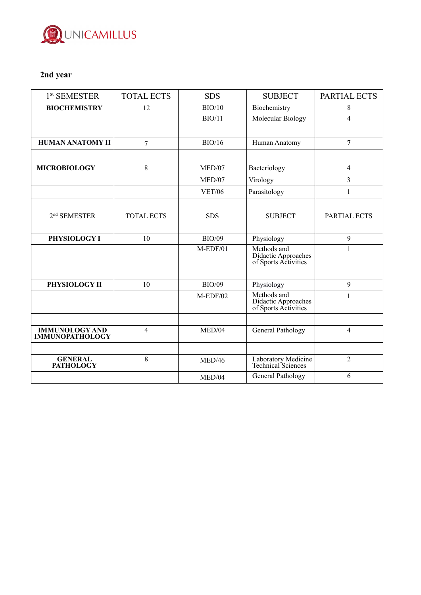

## **2nd year**

| $1st$ SEMESTER                                  | <b>TOTAL ECTS</b> | <b>SDS</b>    | <b>SUBJECT</b>                                             | PARTIAL ECTS   |
|-------------------------------------------------|-------------------|---------------|------------------------------------------------------------|----------------|
| <b>BIOCHEMISTRY</b>                             | 12                | BIO/10        | Biochemistry                                               | 8              |
|                                                 |                   | BIO/11        | Molecular Biology                                          | 4              |
|                                                 |                   |               |                                                            |                |
| <b>HUMAN ANATOMY II</b>                         | $\overline{7}$    | BIO/16        | Human Anatomy                                              | 7              |
|                                                 |                   |               |                                                            |                |
| <b>MICROBIOLOGY</b>                             | 8                 | MED/07        | Bacteriology                                               | $\overline{4}$ |
|                                                 |                   | MED/07        | Virology                                                   | $\overline{3}$ |
|                                                 |                   | <b>VET/06</b> | Parasitology                                               | 1              |
|                                                 |                   |               |                                                            |                |
| 2 <sup>nd</sup> SEMESTER                        | <b>TOTAL ECTS</b> | <b>SDS</b>    | <b>SUBJECT</b>                                             | PARTIAL ECTS   |
|                                                 |                   |               |                                                            |                |
| PHYSIOLOGY I                                    | 10                | <b>BIO/09</b> | Physiology                                                 | 9              |
|                                                 |                   | $M$ -EDF/01   | Methods and<br>Didactic Approaches<br>of Sports Activities | $\mathbf{1}$   |
|                                                 |                   |               |                                                            |                |
| PHYSIOLOGY II                                   | 10                | <b>BIO/09</b> | Physiology                                                 | 9              |
|                                                 |                   | $M$ -EDF/02   | Methods and<br>Didactic Approaches<br>of Sports Activities | 1              |
|                                                 |                   |               |                                                            |                |
| <b>IMMUNOLOGY AND</b><br><b>IMMUNOPATHOLOGY</b> | $\overline{4}$    | MED/04        | General Pathology                                          | $\overline{4}$ |
|                                                 |                   |               |                                                            |                |
| <b>GENERAL</b><br><b>PATHOLOGY</b>              | 8                 | MED/46        | Laboratory Medicine<br>Technical Sciences                  | $\overline{2}$ |
|                                                 |                   | MED/04        | General Pathology                                          | 6              |